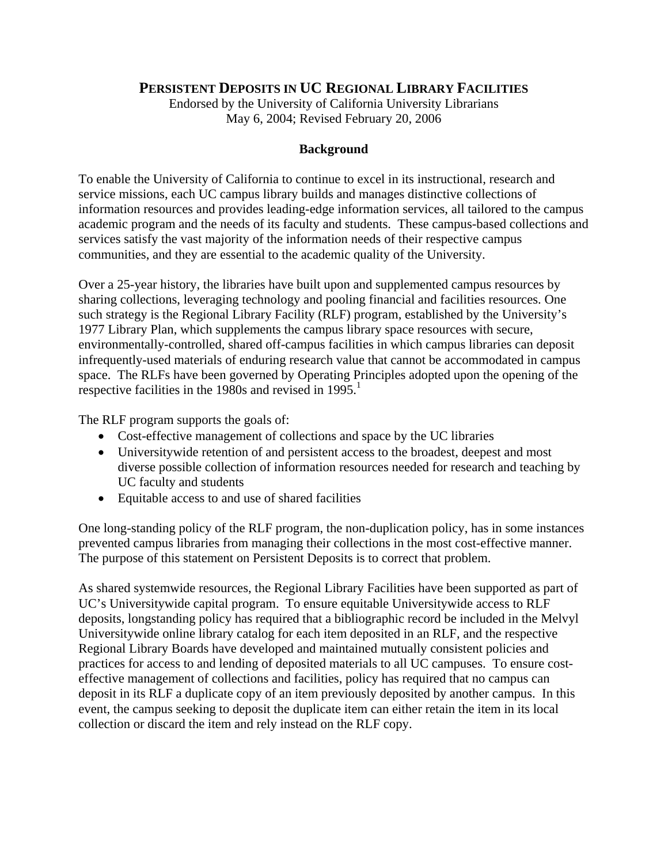## **PERSISTENT DEPOSITS IN UC REGIONAL LIBRARY FACILITIES**

Endorsed by the University of California University Librarians May 6, 2004; Revised February 20, 2006

## **Background**

To enable the University of California to continue to excel in its instructional, research and service missions, each UC campus library builds and manages distinctive collections of information resources and provides leading-edge information services, all tailored to the campus academic program and the needs of its faculty and students. These campus-based collections and services satisfy the vast majority of the information needs of their respective campus communities, and they are essential to the academic quality of the University.

Over a 25-year history, the libraries have built upon and supplemented campus resources by sharing collections, leveraging technology and pooling financial and facilities resources. One such strategy is the Regional Library Facility (RLF) program, established by the University's 1977 Library Plan, which supplements the campus library space resources with secure, environmentally-controlled, shared off-campus facilities in which campus libraries can deposit infrequently-used materials of enduring research value that cannot be accommodated in campus space. The RLFs have been governed by Operating Principles adopted upon the opening of the respective facilities in the 1980s and revised in  $1995$ <sup>1</sup>.

The RLF program supports the goals of:

- Cost-effective management of collections and space by the UC libraries
- Universitywide retention of and persistent access to the broadest, deepest and most diverse possible collection of information resources needed for research and teaching by UC faculty and students
- Equitable access to and use of shared facilities

One long-standing policy of the RLF program, the non-duplication policy, has in some instances prevented campus libraries from managing their collections in the most cost-effective manner. The purpose of this statement on Persistent Deposits is to correct that problem.

As shared systemwide resources, the Regional Library Facilities have been supported as part of UC's Universitywide capital program. To ensure equitable Universitywide access to RLF deposits, longstanding policy has required that a bibliographic record be included in the Melvyl Universitywide online library catalog for each item deposited in an RLF, and the respective Regional Library Boards have developed and maintained mutually consistent policies and practices for access to and lending of deposited materials to all UC campuses. To ensure costeffective management of collections and facilities, policy has required that no campus can deposit in its RLF a duplicate copy of an item previously deposited by another campus. In this event, the campus seeking to deposit the duplicate item can either retain the item in its local collection or discard the item and rely instead on the RLF copy.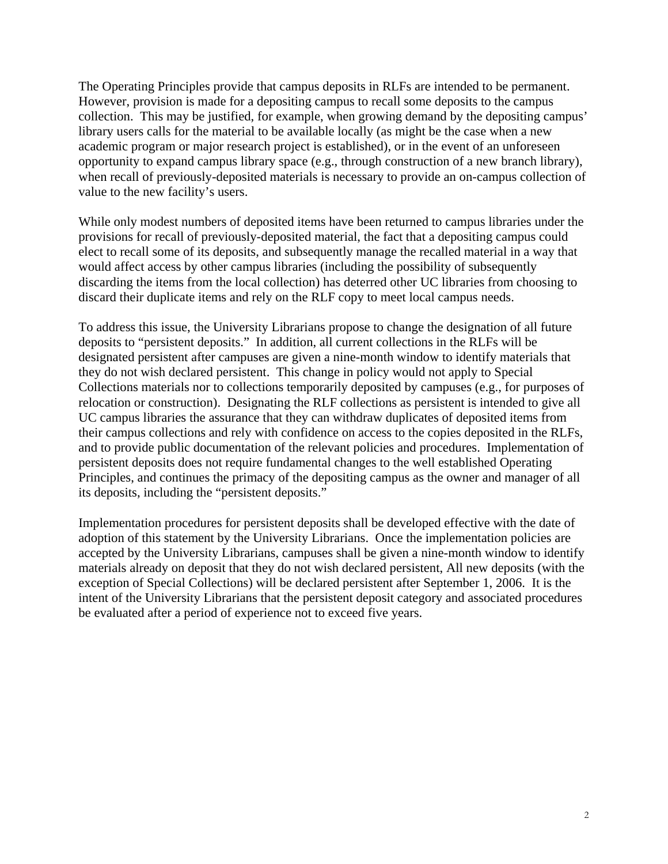The Operating Principles provide that campus deposits in RLFs are intended to be permanent. However, provision is made for a depositing campus to recall some deposits to the campus collection. This may be justified, for example, when growing demand by the depositing campus' library users calls for the material to be available locally (as might be the case when a new academic program or major research project is established), or in the event of an unforeseen opportunity to expand campus library space (e.g., through construction of a new branch library), when recall of previously-deposited materials is necessary to provide an on-campus collection of value to the new facility's users.

While only modest numbers of deposited items have been returned to campus libraries under the provisions for recall of previously-deposited material, the fact that a depositing campus could elect to recall some of its deposits, and subsequently manage the recalled material in a way that would affect access by other campus libraries (including the possibility of subsequently discarding the items from the local collection) has deterred other UC libraries from choosing to discard their duplicate items and rely on the RLF copy to meet local campus needs.

To address this issue, the University Librarians propose to change the designation of all future deposits to "persistent deposits." In addition, all current collections in the RLFs will be designated persistent after campuses are given a nine-month window to identify materials that they do not wish declared persistent. This change in policy would not apply to Special Collections materials nor to collections temporarily deposited by campuses (e.g., for purposes of relocation or construction). Designating the RLF collections as persistent is intended to give all UC campus libraries the assurance that they can withdraw duplicates of deposited items from their campus collections and rely with confidence on access to the copies deposited in the RLFs, and to provide public documentation of the relevant policies and procedures. Implementation of persistent deposits does not require fundamental changes to the well established Operating Principles, and continues the primacy of the depositing campus as the owner and manager of all its deposits, including the "persistent deposits."

Implementation procedures for persistent deposits shall be developed effective with the date of adoption of this statement by the University Librarians. Once the implementation policies are accepted by the University Librarians, campuses shall be given a nine-month window to identify materials already on deposit that they do not wish declared persistent, All new deposits (with the exception of Special Collections) will be declared persistent after September 1, 2006. It is the intent of the University Librarians that the persistent deposit category and associated procedures be evaluated after a period of experience not to exceed five years.